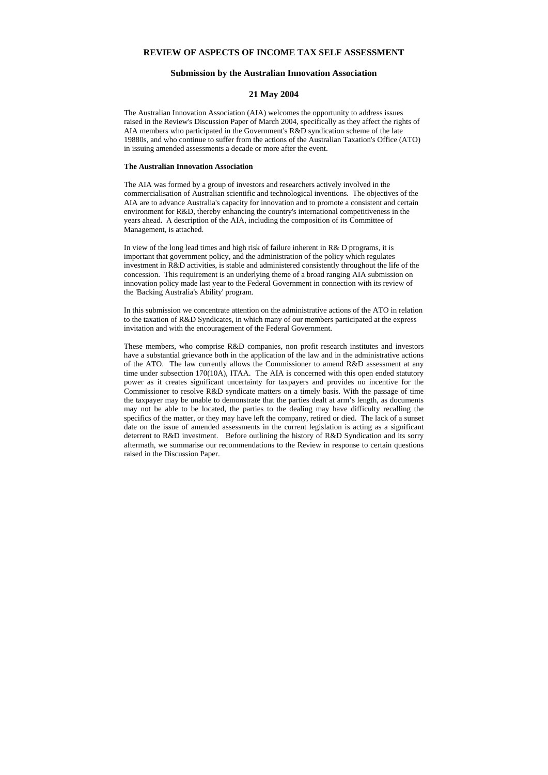# **REVIEW OF ASPECTS OF INCOME TAX SELF ASSESSMENT**

# **Submission by the Australian Innovation Association**

## **21 May 2004**

The Australian Innovation Association (AIA) welcomes the opportunity to address issues raised in the Review's Discussion Paper of March 2004, specifically as they affect the rights of AIA members who participated in the Government's R&D syndication scheme of the late 19880s, and who continue to suffer from the actions of the Australian Taxation's Office (ATO) in issuing amended assessments a decade or more after the event.

#### **The Australian Innovation Association**

The AIA was formed by a group of investors and researchers actively involved in the commercialisation of Australian scientific and technological inventions. The objectives of the AIA are to advance Australia's capacity for innovation and to promote a consistent and certain environment for R&D, thereby enhancing the country's international competitiveness in the years ahead. A description of the AIA, including the composition of its Committee of Management, is attached.

In view of the long lead times and high risk of failure inherent in R& D programs, it is important that government policy, and the administration of the policy which regulates investment in R&D activities, is stable and administered consistently throughout the life of the concession. This requirement is an underlying theme of a broad ranging AIA submission on innovation policy made last year to the Federal Government in connection with its review of the 'Backing Australia's Ability' program.

In this submission we concentrate attention on the administrative actions of the ATO in relation to the taxation of R&D Syndicates, in which many of our members participated at the express invitation and with the encouragement of the Federal Government.

These members, who comprise R&D companies, non profit research institutes and investors have a substantial grievance both in the application of the law and in the administrative actions of the ATO. The law currently allows the Commissioner to amend R&D assessment at any time under subsection 170(10A), ITAA. The AIA is concerned with this open ended statutory power as it creates significant uncertainty for taxpayers and provides no incentive for the Commissioner to resolve R&D syndicate matters on a timely basis. With the passage of time the taxpayer may be unable to demonstrate that the parties dealt at arm's length, as documents may not be able to be located, the parties to the dealing may have difficulty recalling the specifics of the matter, or they may have left the company, retired or died. The lack of a sunset date on the issue of amended assessments in the current legislation is acting as a significant deterrent to R&D investment. Before outlining the history of R&D Syndication and its sorry aftermath, we summarise our recommendations to the Review in response to certain questions raised in the Discussion Paper.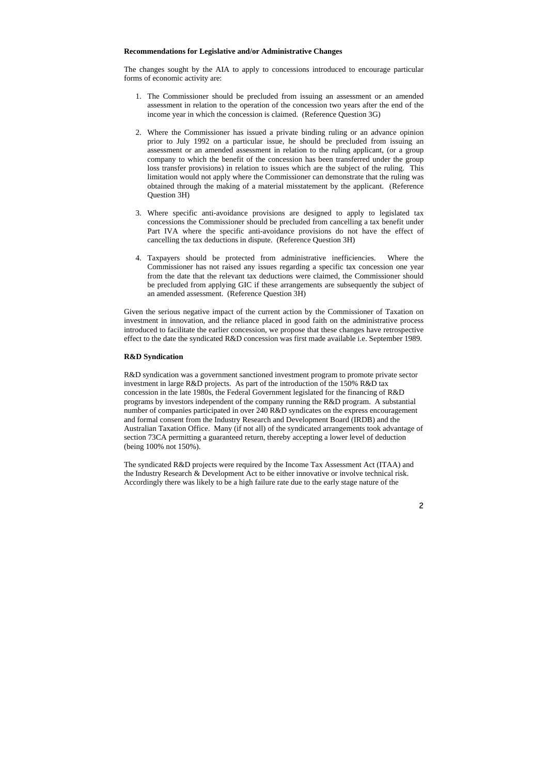#### **Recommendations for Legislative and/or Administrative Changes**

The changes sought by the AIA to apply to concessions introduced to encourage particular forms of economic activity are:

- 1. The Commissioner should be precluded from issuing an assessment or an amended assessment in relation to the operation of the concession two years after the end of the income year in which the concession is claimed. (Reference Question 3G)
- 2. Where the Commissioner has issued a private binding ruling or an advance opinion prior to July 1992 on a particular issue, he should be precluded from issuing an assessment or an amended assessment in relation to the ruling applicant, (or a group company to which the benefit of the concession has been transferred under the group loss transfer provisions) in relation to issues which are the subject of the ruling. This limitation would not apply where the Commissioner can demonstrate that the ruling was obtained through the making of a material misstatement by the applicant. (Reference Question 3H)
- 3. Where specific anti-avoidance provisions are designed to apply to legislated tax concessions the Commissioner should be precluded from cancelling a tax benefit under Part IVA where the specific anti-avoidance provisions do not have the effect of cancelling the tax deductions in dispute. (Reference Question 3H)
- 4. Taxpayers should be protected from administrative inefficiencies. Where the Commissioner has not raised any issues regarding a specific tax concession one year from the date that the relevant tax deductions were claimed, the Commissioner should be precluded from applying GIC if these arrangements are subsequently the subject of an amended assessment. (Reference Question 3H)

R&D syndication was a government sanctioned investment program to promote private sector investment in large R&D projects. As part of the introduction of the 150% R&D tax concession in the late 1980s, the Federal Government legislated for the financing of R&D programs by investors independent of the company running the R&D program. A substantial number of companies participated in over 240 R&D syndicates on the express encouragement and formal consent from the Industry Research and Development Board (IRDB) and the Australian Taxation Office. Many (if not all) of the syndicated arrangements took advantage of section 73CA permitting a guaranteed return, thereby accepting a lower level of deduction (being 100% not 150%).

Given the serious negative impact of the current action by the Commissioner of Taxation on investment in innovation, and the reliance placed in good faith on the administrative process introduced to facilitate the earlier concession, we propose that these changes have retrospective effect to the date the syndicated R&D concession was first made available i.e. September 1989.

#### **R&D Syndication**

The syndicated R&D projects were required by the Income Tax Assessment Act (ITAA) and the Industry Research & Development Act to be either innovative or involve technical risk. Accordingly there was likely to be a high failure rate due to the early stage nature of the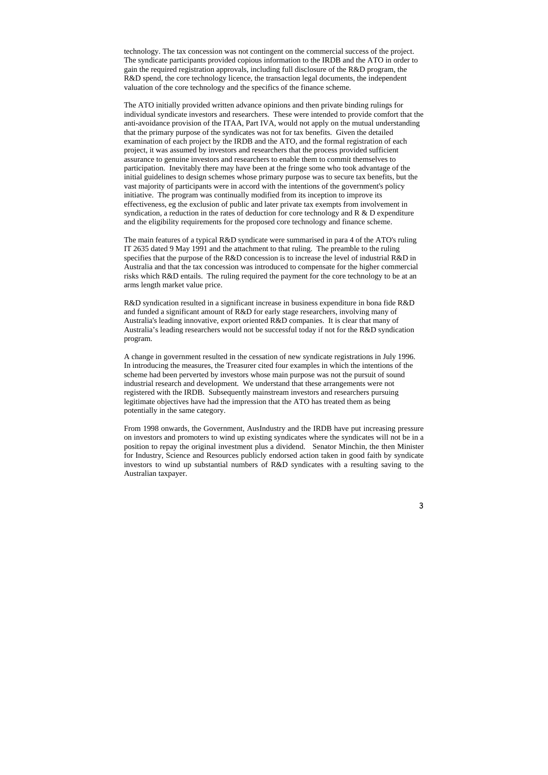technology. The tax concession was not contingent on the commercial success of the project. The syndicate participants provided copious information to the IRDB and the ATO in order to gain the required registration approvals, including full disclosure of the R&D program, the R&D spend, the core technology licence, the transaction legal documents, the independent valuation of the core technology and the specifics of the finance scheme.

The ATO initially provided written advance opinions and then private binding rulings for individual syndicate investors and researchers. These were intended to provide comfort that the anti-avoidance provision of the ITAA, Part IVA, would not apply on the mutual understanding that the primary purpose of the syndicates was not for tax benefits. Given the detailed examination of each project by the IRDB and the ATO, and the formal registration of each project, it was assumed by investors and researchers that the process provided sufficient assurance to genuine investors and researchers to enable them to commit themselves to participation. Inevitably there may have been at the fringe some who took advantage of the initial guidelines to design schemes whose primary purpose was to secure tax benefits, but the vast majority of participants were in accord with the intentions of the government's policy initiative. The program was continually modified from its inception to improve its effectiveness, eg the exclusion of public and later private tax exempts from involvement in syndication, a reduction in the rates of deduction for core technology and R & D expenditure and the eligibility requirements for the proposed core technology and finance scheme.

The main features of a typical R&D syndicate were summarised in para 4 of the ATO's ruling IT 2635 dated 9 May 1991 and the attachment to that ruling. The preamble to the ruling specifies that the purpose of the R&D concession is to increase the level of industrial R&D in Australia and that the tax concession was introduced to compensate for the higher commercial risks which R&D entails. The ruling required the payment for the core technology to be at an arms length market value price.

R&D syndication resulted in a significant increase in business expenditure in bona fide R&D and funded a significant amount of R&D for early stage researchers, involving many of Australia's leading innovative, export oriented R&D companies. It is clear that many of Australia's leading researchers would not be successful today if not for the R&D syndication program.

A change in government resulted in the cessation of new syndicate registrations in July 1996. In introducing the measures, the Treasurer cited four examples in which the intentions of the scheme had been perverted by investors whose main purpose was not the pursuit of sound industrial research and development. We understand that these arrangements were not registered with the IRDB. Subsequently mainstream investors and researchers pursuing legitimate objectives have had the impression that the ATO has treated them as being potentially in the same category.

From 1998 onwards, the Government, AusIndustry and the IRDB have put increasing pressure on investors and promoters to wind up existing syndicates where the syndicates will not be in a position to repay the original investment plus a dividend. Senator Minchin, the then Minister for Industry, Science and Resources publicly endorsed action taken in good faith by syndicate investors to wind up substantial numbers of R&D syndicates with a resulting saving to the Australian taxpayer.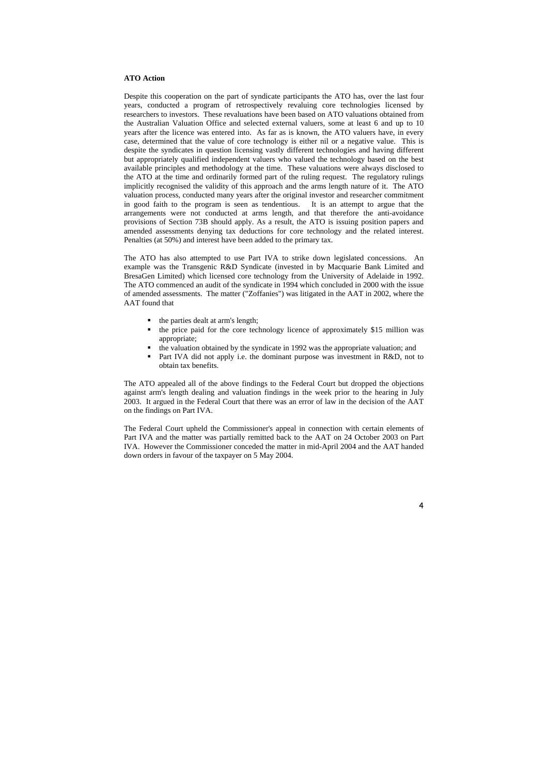### **ATO Action**

Despite this cooperation on the part of syndicate participants the ATO has, over the last four years, conducted a program of retrospectively revaluing core technologies licensed by researchers to investors. These revaluations have been based on ATO valuations obtained from the Australian Valuation Office and selected external valuers, some at least 6 and up to 10 years after the licence was entered into. As far as is known, the ATO valuers have, in every case, determined that the value of core technology is either nil or a negative value. This is despite the syndicates in question licensing vastly different technologies and having different but appropriately qualified independent valuers who valued the technology based on the best available principles and methodology at the time. These valuations were always disclosed to the ATO at the time and ordinarily formed part of the ruling request. The regulatory rulings implicitly recognised the validity of this approach and the arms length nature of it. The ATO valuation process, conducted many years after the original investor and researcher commitment in good faith to the program is seen as tendentious. It is an attempt to argue that the arrangements were not conducted at arms length, and that therefore the anti-avoidance provisions of Section 73B should apply. As a result, the ATO is issuing position papers and amended assessments denying tax deductions for core technology and the related interest. Penalties (at 50%) and interest have been added to the primary tax.

- $\blacksquare$  the parties dealt at arm's length;
- $\blacksquare$  the price paid for the core technology licence of approximately \$15 million was appropriate;
- the valuation obtained by the syndicate in 1992 was the appropriate valuation; and
- **Part IVA did not apply i.e. the dominant purpose was investment in R&D, not to** obtain tax benefits.

The ATO has also attempted to use Part IVA to strike down legislated concessions. An example was the Transgenic R&D Syndicate (invested in by Macquarie Bank Limited and BresaGen Limited) which licensed core technology from the University of Adelaide in 1992. The ATO commenced an audit of the syndicate in 1994 which concluded in 2000 with the issue of amended assessments. The matter ("Zoffanies") was litigated in the AAT in 2002, where the AAT found that

The ATO appealed all of the above findings to the Federal Court but dropped the objections against arm's length dealing and valuation findings in the week prior to the hearing in July 2003. It argued in the Federal Court that there was an error of law in the decision of the AAT on the findings on Part IVA.

The Federal Court upheld the Commissioner's appeal in connection with certain elements of Part IVA and the matter was partially remitted back to the AAT on 24 October 2003 on Part IVA. However the Commissioner conceded the matter in mid-April 2004 and the AAT handed down orders in favour of the taxpayer on 5 May 2004.